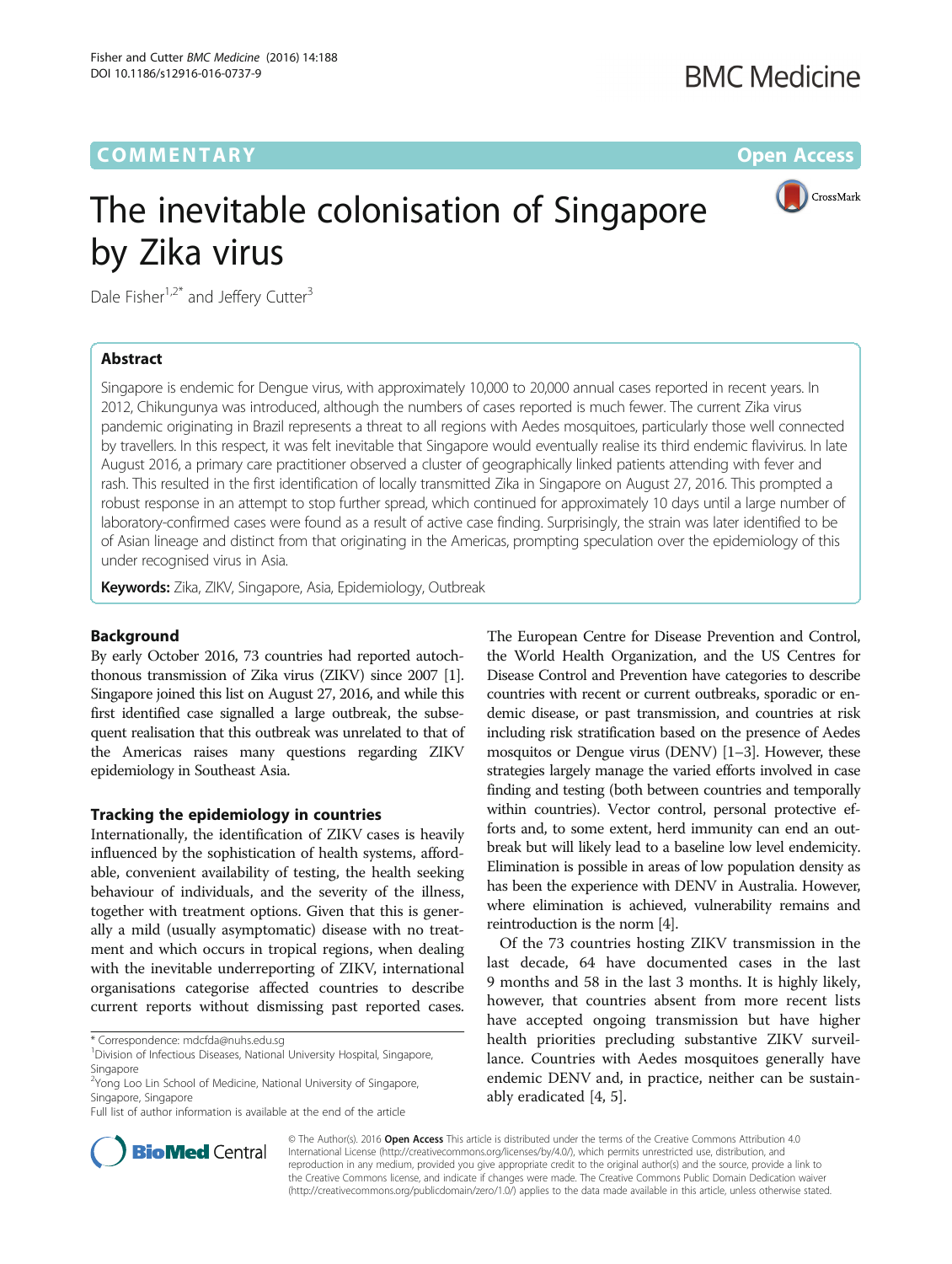# **COMMENTARY COMMENTARY COMMENTARY**

 $\bigcap$  CrossMark

# The inevitable colonisation of Singapore by Zika virus

Dale Fisher<sup>1,2\*</sup> and Jeffery Cutter<sup>3</sup>

## Abstract

Singapore is endemic for Dengue virus, with approximately 10,000 to 20,000 annual cases reported in recent years. In 2012, Chikungunya was introduced, although the numbers of cases reported is much fewer. The current Zika virus pandemic originating in Brazil represents a threat to all regions with Aedes mosquitoes, particularly those well connected by travellers. In this respect, it was felt inevitable that Singapore would eventually realise its third endemic flavivirus. In late August 2016, a primary care practitioner observed a cluster of geographically linked patients attending with fever and rash. This resulted in the first identification of locally transmitted Zika in Singapore on August 27, 2016. This prompted a robust response in an attempt to stop further spread, which continued for approximately 10 days until a large number of laboratory-confirmed cases were found as a result of active case finding. Surprisingly, the strain was later identified to be of Asian lineage and distinct from that originating in the Americas, prompting speculation over the epidemiology of this under recognised virus in Asia.

Keywords: Zika, ZIKV, Singapore, Asia, Epidemiology, Outbreak

## Background

By early October 2016, 73 countries had reported autochthonous transmission of Zika virus (ZIKV) since 2007 [[1](#page-2-0)]. Singapore joined this list on August 27, 2016, and while this first identified case signalled a large outbreak, the subsequent realisation that this outbreak was unrelated to that of the Americas raises many questions regarding ZIKV epidemiology in Southeast Asia.

## Tracking the epidemiology in countries

Internationally, the identification of ZIKV cases is heavily influenced by the sophistication of health systems, affordable, convenient availability of testing, the health seeking behaviour of individuals, and the severity of the illness, together with treatment options. Given that this is generally a mild (usually asymptomatic) disease with no treatment and which occurs in tropical regions, when dealing with the inevitable underreporting of ZIKV, international organisations categorise affected countries to describe current reports without dismissing past reported cases.

<sup>2</sup>Yong Loo Lin School of Medicine, National University of Singapore, Singapore, Singapore

Full list of author information is available at the end of the article

The European Centre for Disease Prevention and Control, the World Health Organization, and the US Centres for Disease Control and Prevention have categories to describe countries with recent or current outbreaks, sporadic or endemic disease, or past transmission, and countries at risk including risk stratification based on the presence of Aedes mosquitos or Dengue virus (DENV) [\[1](#page-2-0)–[3](#page-2-0)]. However, these strategies largely manage the varied efforts involved in case finding and testing (both between countries and temporally within countries). Vector control, personal protective efforts and, to some extent, herd immunity can end an outbreak but will likely lead to a baseline low level endemicity. Elimination is possible in areas of low population density as has been the experience with DENV in Australia. However, where elimination is achieved, vulnerability remains and reintroduction is the norm [[4](#page-2-0)].

Of the 73 countries hosting ZIKV transmission in the last decade, 64 have documented cases in the last 9 months and 58 in the last 3 months. It is highly likely, however, that countries absent from more recent lists have accepted ongoing transmission but have higher health priorities precluding substantive ZIKV surveillance. Countries with Aedes mosquitoes generally have endemic DENV and, in practice, neither can be sustainably eradicated [\[4, 5\]](#page-2-0).



© The Author(s). 2016 Open Access This article is distributed under the terms of the Creative Commons Attribution 4.0 International License [\(http://creativecommons.org/licenses/by/4.0/](http://creativecommons.org/licenses/by/4.0/)), which permits unrestricted use, distribution, and reproduction in any medium, provided you give appropriate credit to the original author(s) and the source, provide a link to the Creative Commons license, and indicate if changes were made. The Creative Commons Public Domain Dedication waiver [\(http://creativecommons.org/publicdomain/zero/1.0/](http://creativecommons.org/publicdomain/zero/1.0/)) applies to the data made available in this article, unless otherwise stated.

<sup>\*</sup> Correspondence: [mdcfda@nuhs.edu.sg](mailto:mdcfda@nuhs.edu.sg) <sup>1</sup>

<sup>&</sup>lt;sup>1</sup> Division of Infectious Diseases, National University Hospital, Singapore, Singapore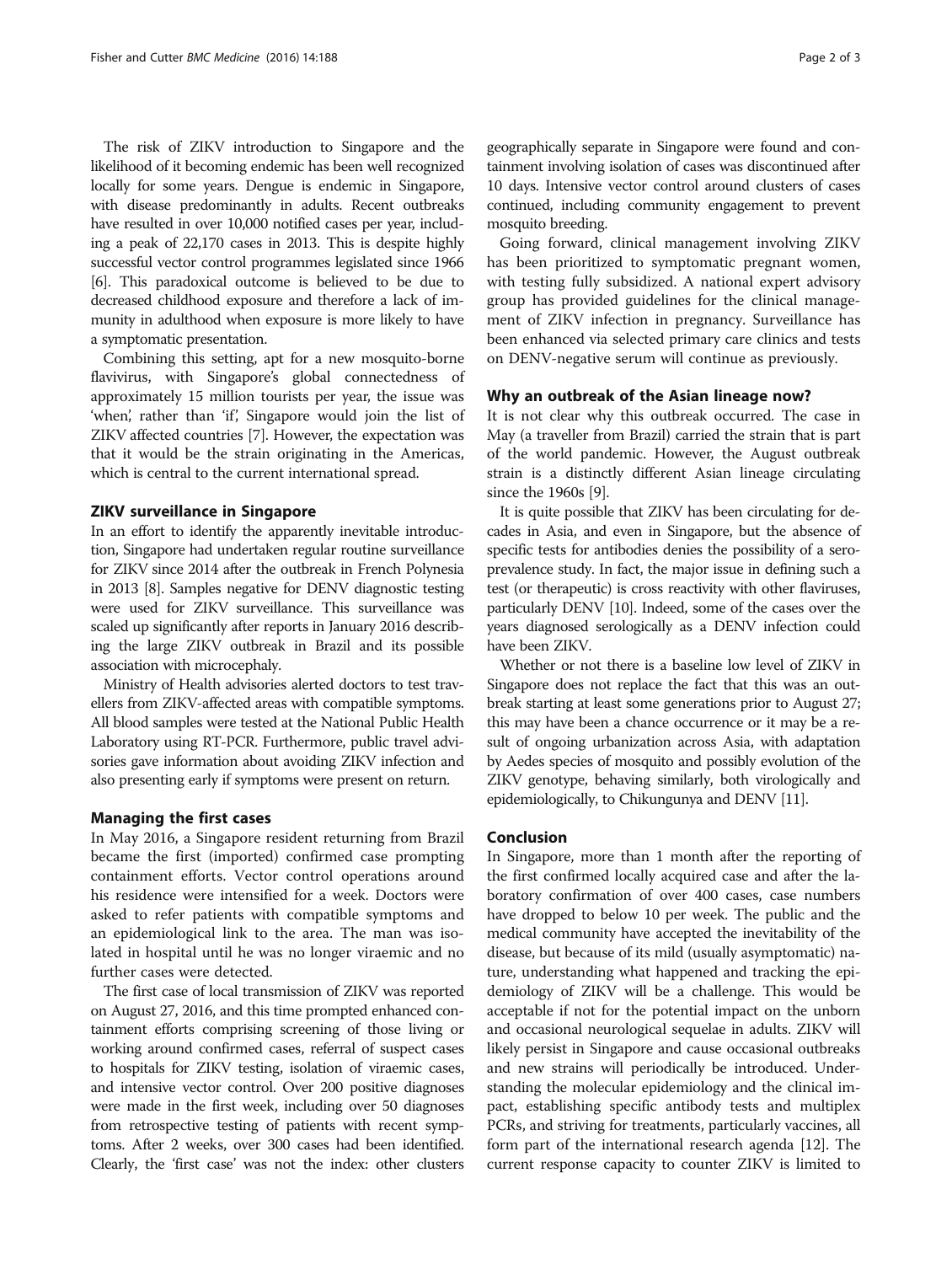The risk of ZIKV introduction to Singapore and the likelihood of it becoming endemic has been well recognized locally for some years. Dengue is endemic in Singapore, with disease predominantly in adults. Recent outbreaks have resulted in over 10,000 notified cases per year, including a peak of 22,170 cases in 2013. This is despite highly successful vector control programmes legislated since 1966 [[6](#page-2-0)]. This paradoxical outcome is believed to be due to decreased childhood exposure and therefore a lack of immunity in adulthood when exposure is more likely to have a symptomatic presentation.

Combining this setting, apt for a new mosquito-borne flavivirus, with Singapore's global connectedness of approximately 15 million tourists per year, the issue was 'when', rather than 'if', Singapore would join the list of ZIKV affected countries [\[7](#page-2-0)]. However, the expectation was that it would be the strain originating in the Americas, which is central to the current international spread.

## ZIKV surveillance in Singapore

In an effort to identify the apparently inevitable introduction, Singapore had undertaken regular routine surveillance for ZIKV since 2014 after the outbreak in French Polynesia in 2013 [\[8\]](#page-2-0). Samples negative for DENV diagnostic testing were used for ZIKV surveillance. This surveillance was scaled up significantly after reports in January 2016 describing the large ZIKV outbreak in Brazil and its possible association with microcephaly.

Ministry of Health advisories alerted doctors to test travellers from ZIKV-affected areas with compatible symptoms. All blood samples were tested at the National Public Health Laboratory using RT-PCR. Furthermore, public travel advisories gave information about avoiding ZIKV infection and also presenting early if symptoms were present on return.

### Managing the first cases

In May 2016, a Singapore resident returning from Brazil became the first (imported) confirmed case prompting containment efforts. Vector control operations around his residence were intensified for a week. Doctors were asked to refer patients with compatible symptoms and an epidemiological link to the area. The man was isolated in hospital until he was no longer viraemic and no further cases were detected.

The first case of local transmission of ZIKV was reported on August 27, 2016, and this time prompted enhanced containment efforts comprising screening of those living or working around confirmed cases, referral of suspect cases to hospitals for ZIKV testing, isolation of viraemic cases, and intensive vector control. Over 200 positive diagnoses were made in the first week, including over 50 diagnoses from retrospective testing of patients with recent symptoms. After 2 weeks, over 300 cases had been identified. Clearly, the 'first case' was not the index: other clusters geographically separate in Singapore were found and containment involving isolation of cases was discontinued after 10 days. Intensive vector control around clusters of cases continued, including community engagement to prevent mosquito breeding.

Going forward, clinical management involving ZIKV has been prioritized to symptomatic pregnant women, with testing fully subsidized. A national expert advisory group has provided guidelines for the clinical management of ZIKV infection in pregnancy. Surveillance has been enhanced via selected primary care clinics and tests on DENV-negative serum will continue as previously.

#### Why an outbreak of the Asian lineage now?

It is not clear why this outbreak occurred. The case in May (a traveller from Brazil) carried the strain that is part of the world pandemic. However, the August outbreak strain is a distinctly different Asian lineage circulating since the 1960s [\[9](#page-2-0)].

It is quite possible that ZIKV has been circulating for decades in Asia, and even in Singapore, but the absence of specific tests for antibodies denies the possibility of a seroprevalence study. In fact, the major issue in defining such a test (or therapeutic) is cross reactivity with other flaviruses, particularly DENV [\[10\]](#page-2-0). Indeed, some of the cases over the years diagnosed serologically as a DENV infection could have been ZIKV.

Whether or not there is a baseline low level of ZIKV in Singapore does not replace the fact that this was an outbreak starting at least some generations prior to August 27; this may have been a chance occurrence or it may be a result of ongoing urbanization across Asia, with adaptation by Aedes species of mosquito and possibly evolution of the ZIKV genotype, behaving similarly, both virologically and epidemiologically, to Chikungunya and DENV [[11\]](#page-2-0).

#### Conclusion

In Singapore, more than 1 month after the reporting of the first confirmed locally acquired case and after the laboratory confirmation of over 400 cases, case numbers have dropped to below 10 per week. The public and the medical community have accepted the inevitability of the disease, but because of its mild (usually asymptomatic) nature, understanding what happened and tracking the epidemiology of ZIKV will be a challenge. This would be acceptable if not for the potential impact on the unborn and occasional neurological sequelae in adults. ZIKV will likely persist in Singapore and cause occasional outbreaks and new strains will periodically be introduced. Understanding the molecular epidemiology and the clinical impact, establishing specific antibody tests and multiplex PCRs, and striving for treatments, particularly vaccines, all form part of the international research agenda [[12\]](#page-2-0). The current response capacity to counter ZIKV is limited to